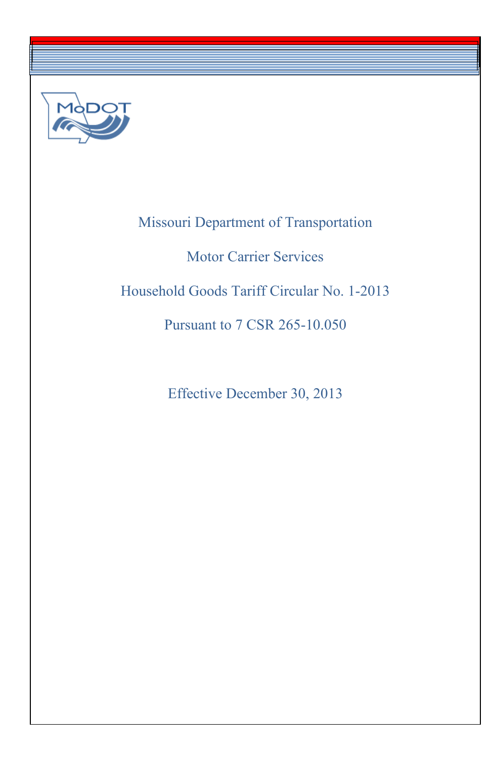

----------------------· ·---------------------·

# Missouri Department of Transportation Motor Carrier Services Household Goods Tariff Circular No. 1-2013 Pursuant to 7 CSR 265-10.050

Effective December 30, 2013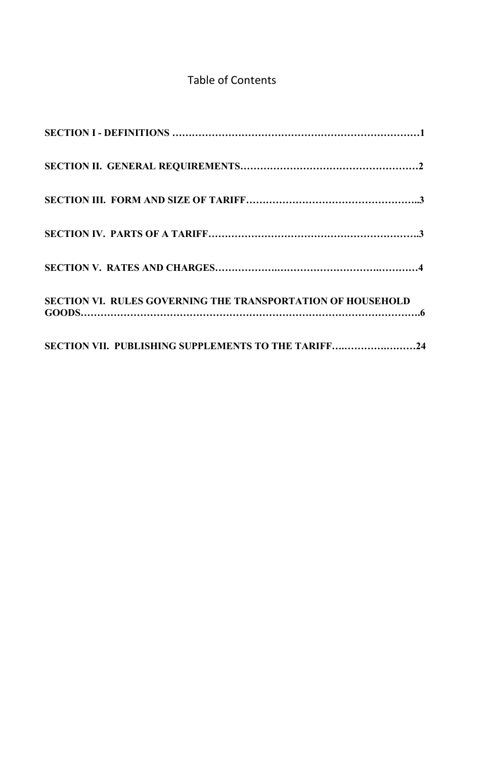## Table of Contents

| <b>SECTION VI. RULES GOVERNING THE TRANSPORTATION OF HOUSEHOLD</b> |
|--------------------------------------------------------------------|
| SECTION VII. PUBLISHING SUPPLEMENTS TO THE TARIFF24                |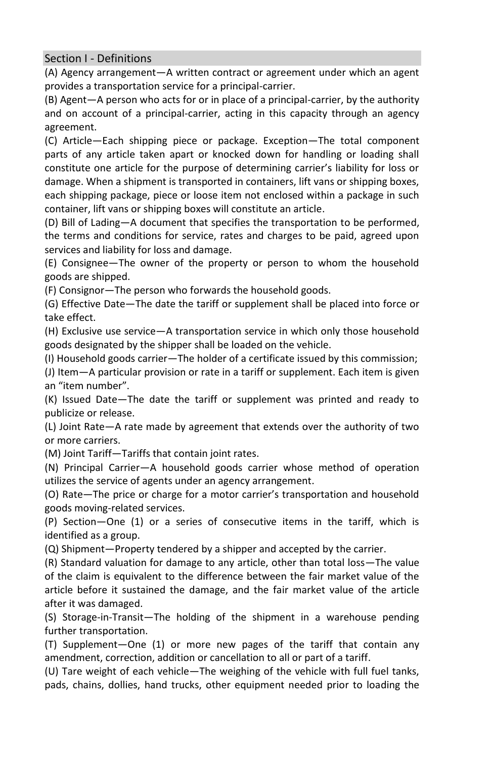<span id="page-4-0"></span>Section I - Definitions

(A) Agency arrangement—A written contract or agreement under which an agent provides a transportation service for a principal-carrier.

(B) Agent—A person who acts for or in place of a principal-carrier, by the authority and on account of a principal-carrier, acting in this capacity through an agency agreement.

 constitute one article for the purpose of determining carrier's liability for loss or (C) Article—Each shipping piece or package. Exception—The total component parts of any article taken apart or knocked down for handling or loading shall damage. When a shipment is transported in containers, lift vans or shipping boxes, each shipping package, piece or loose item not enclosed within a package in such container, lift vans or shipping boxes will constitute an article.

(D) Bill of Lading—A document that specifies the transportation to be performed, the terms and conditions for service, rates and charges to be paid, agreed upon services and liability for loss and damage.

(E) Consignee—The owner of the property or person to whom the household goods are shipped.

(F) Consignor—The person who forwards the household goods.

(G) Effective Date—The date the tariff or supplement shall be placed into force or take effect.

(H) Exclusive use service—A transportation service in which only those household goods designated by the shipper shall be loaded on the vehicle.

(I) Household goods carrier—The holder of a certificate issued by this commission;

(J) Item—A particular provision or rate in a tariff or supplement. Each item is given an "item number".

(K) Issued Date—The date the tariff or supplement was printed and ready to publicize or release.

(L) Joint Rate—A rate made by agreement that extends over the authority of two or more carriers.

(M) Joint Tariff—Tariffs that contain joint rates.

(N) Principal Carrier—A household goods carrier whose method of operation utilizes the service of agents under an agency arrangement.

 (O) Rate—The price or charge for a motor carrier's transportation and household goods moving-related services.

(P) Section—One (1) or a series of consecutive items in the tariff, which is identified as a group.

(Q) Shipment—Property tendered by a shipper and accepted by the carrier.

(R) Standard valuation for damage to any article, other than total loss—The value of the claim is equivalent to the difference between the fair market value of the article before it sustained the damage, and the fair market value of the article after it was damaged.

(S) Storage-in-Transit—The holding of the shipment in a warehouse pending further transportation.

(T) Supplement—One (1) or more new pages of the tariff that contain any amendment, correction, addition or cancellation to all or part of a tariff.

(U) Tare weight of each vehicle—The weighing of the vehicle with full fuel tanks, pads, chains, dollies, hand trucks, other equipment needed prior to loading the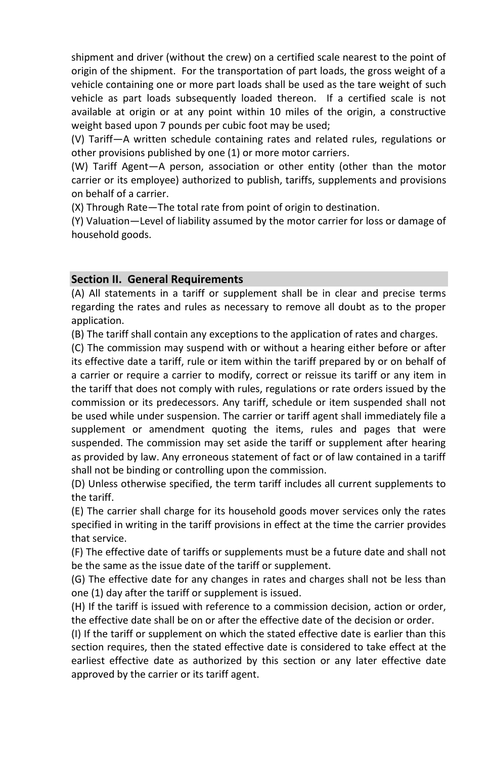shipment and driver (without the crew) on a certified scale nearest to the point of origin of the shipment. For the transportation of part loads, the gross weight of a vehicle containing one or more part loads shall be used as the tare weight of such vehicle as part loads subsequently loaded thereon. If a certified scale is not available at origin or at any point within 10 miles of the origin, a constructive weight based upon 7 pounds per cubic foot may be used;

(V) Tariff—A written schedule containing rates and related rules, regulations or other provisions published by one (1) or more motor carriers.

(W) Tariff Agent—A person, association or other entity (other than the motor carrier or its employee) authorized to publish, tariffs, supplements and provisions on behalf of a carrier.

(X) Through Rate—The total rate from point of origin to destination.

(Y) Valuation—Level of liability assumed by the motor carrier for loss or damage of household goods.

## <span id="page-5-0"></span>**Section II. General Requirements**

(A) All statements in a tariff or supplement shall be in clear and precise terms regarding the rates and rules as necessary to remove all doubt as to the proper application.

(B) The tariff shall contain any exceptions to the application of rates and charges.

(C) The commission may suspend with or without a hearing either before or after its effective date a tariff, rule or item within the tariff prepared by or on behalf of a carrier or require a carrier to modify, correct or reissue its tariff or any item in the tariff that does not comply with rules, regulations or rate orders issued by the commission or its predecessors. Any tariff, schedule or item suspended shall not be used while under suspension. The carrier or tariff agent shall immediately file a supplement or amendment quoting the items, rules and pages that were suspended. The commission may set aside the tariff or supplement after hearing as provided by law. Any erroneous statement of fact or of law contained in a tariff shall not be binding or controlling upon the commission.

(D) Unless otherwise specified, the term tariff includes all current supplements to the tariff.

(E) The carrier shall charge for its household goods mover services only the rates specified in writing in the tariff provisions in effect at the time the carrier provides that service.

(F) The effective date of tariffs or supplements must be a future date and shall not be the same as the issue date of the tariff or supplement.

(G) The effective date for any changes in rates and charges shall not be less than one (1) day after the tariff or supplement is issued.

(H) If the tariff is issued with reference to a commission decision, action or order, the effective date shall be on or after the effective date of the decision or order.

(I) If the tariff or supplement on which the stated effective date is earlier than this section requires, then the stated effective date is considered to take effect at the earliest effective date as authorized by this section or any later effective date approved by the carrier or its tariff agent.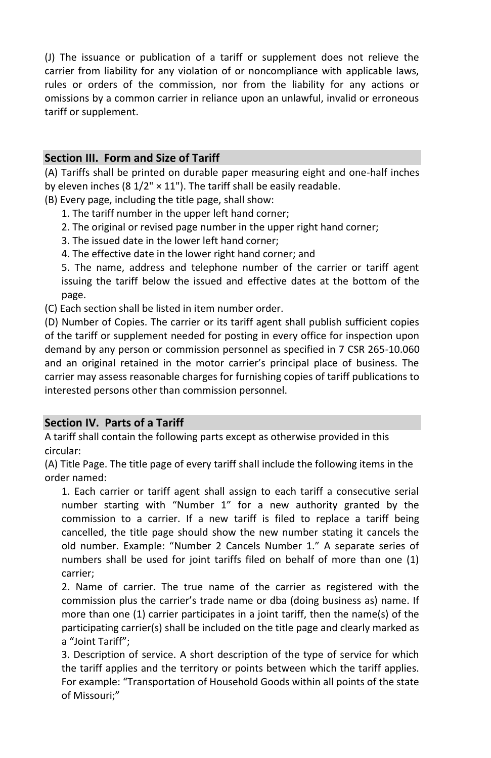(J) The issuance or publication of a tariff or supplement does not relieve the carrier from liability for any violation of or noncompliance with applicable laws, rules or orders of the commission, nor from the liability for any actions or omissions by a common carrier in reliance upon an unlawful, invalid or erroneous tariff or supplement.

## <span id="page-6-0"></span>**Section III. Form and Size of Tariff**

(A) Tariffs shall be printed on durable paper measuring eight and one-half inches by eleven inches (8  $1/2$ "  $\times$  11"). The tariff shall be easily readable.

(B) Every page, including the title page, shall show:

- 1. The tariff number in the upper left hand corner;
- 2. The original or revised page number in the upper right hand corner;
- 3. The issued date in the lower left hand corner;
- 4. The effective date in the lower right hand corner; and

5. The name, address and telephone number of the carrier or tariff agent issuing the tariff below the issued and effective dates at the bottom of the page.

(C) Each section shall be listed in item number order.

 and an original retained in the motor carrier's principal place of business. The (D) Number of Copies. The carrier or its tariff agent shall publish sufficient copies of the tariff or supplement needed for posting in every office for inspection upon demand by any person or commission personnel as specified in 7 CSR 265-10.060 carrier may assess reasonable charges for furnishing copies of tariff publications to interested persons other than commission personnel.

## <span id="page-6-1"></span>**Section IV. Parts of a Tariff**

A tariff shall contain the following parts except as otherwise provided in this circular:

(A) Title Page. The title page of every tariff shall include the following items in the order named:

 number starting with "Number 1" for a new authority granted by the old number. Example: "Number 2 Cancels Number 1." A separate series of 1. Each carrier or tariff agent shall assign to each tariff a consecutive serial commission to a carrier. If a new tariff is filed to replace a tariff being cancelled, the title page should show the new number stating it cancels the numbers shall be used for joint tariffs filed on behalf of more than one (1) carrier;

 commission plus the carrier's trade name or dba (doing business as) name. If 2. Name of carrier. The true name of the carrier as registered with the more than one (1) carrier participates in a joint tariff, then the name(s) of the participating carrier(s) shall be included on the title page and clearly marked as a "Joint Tariff";

3. Description of service. A short description of the type of service for which the tariff applies and the territory or points between which the tariff applies. For example: "Transportation of Household Goods within all points of the state of Missouri;"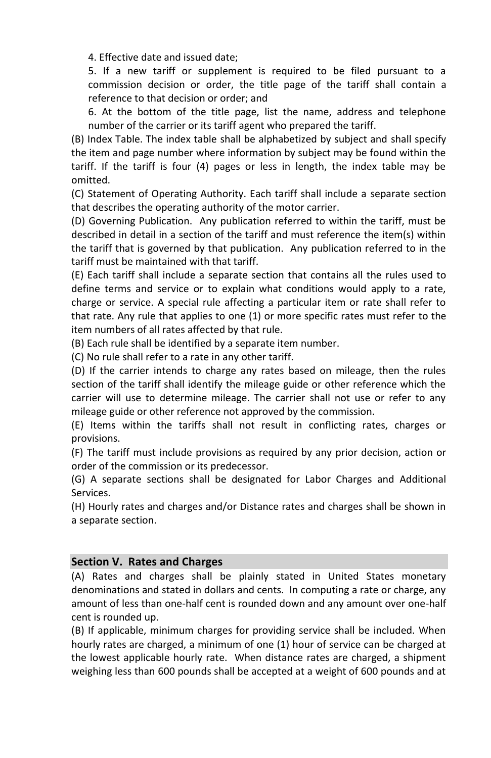4. Effective date and issued date;

5. If a new tariff or supplement is required to be filed pursuant to a commission decision or order, the title page of the tariff shall contain a reference to that decision or order; and

6. At the bottom of the title page, list the name, address and telephone number of the carrier or its tariff agent who prepared the tariff.

(B) Index Table. The index table shall be alphabetized by subject and shall specify the item and page number where information by subject may be found within the tariff. If the tariff is four (4) pages or less in length, the index table may be omitted.

(C) Statement of Operating Authority. Each tariff shall include a separate section that describes the operating authority of the motor carrier.

(D) Governing Publication. Any publication referred to within the tariff, must be described in detail in a section of the tariff and must reference the item(s) within the tariff that is governed by that publication. Any publication referred to in the tariff must be maintained with that tariff.

(E) Each tariff shall include a separate section that contains all the rules used to define terms and service or to explain what conditions would apply to a rate, charge or service. A special rule affecting a particular item or rate shall refer to that rate. Any rule that applies to one (1) or more specific rates must refer to the item numbers of all rates affected by that rule.

(B) Each rule shall be identified by a separate item number.

(C) No rule shall refer to a rate in any other tariff.

(D) If the carrier intends to charge any rates based on mileage, then the rules section of the tariff shall identify the mileage guide or other reference which the carrier will use to determine mileage. The carrier shall not use or refer to any mileage guide or other reference not approved by the commission.

(E) Items within the tariffs shall not result in conflicting rates, charges or provisions.

(F) The tariff must include provisions as required by any prior decision, action or order of the commission or its predecessor.

(G) A separate sections shall be designated for Labor Charges and Additional Services.

(H) Hourly rates and charges and/or Distance rates and charges shall be shown in a separate section.

#### <span id="page-7-0"></span>**Section V. Rates and Charges**

(A) Rates and charges shall be plainly stated in United States monetary denominations and stated in dollars and cents. In computing a rate or charge, any amount of less than one-half cent is rounded down and any amount over one-half cent is rounded up.

(B) If applicable, minimum charges for providing service shall be included. When hourly rates are charged, a minimum of one (1) hour of service can be charged at the lowest applicable hourly rate. When distance rates are charged, a shipment weighing less than 600 pounds shall be accepted at a weight of 600 pounds and at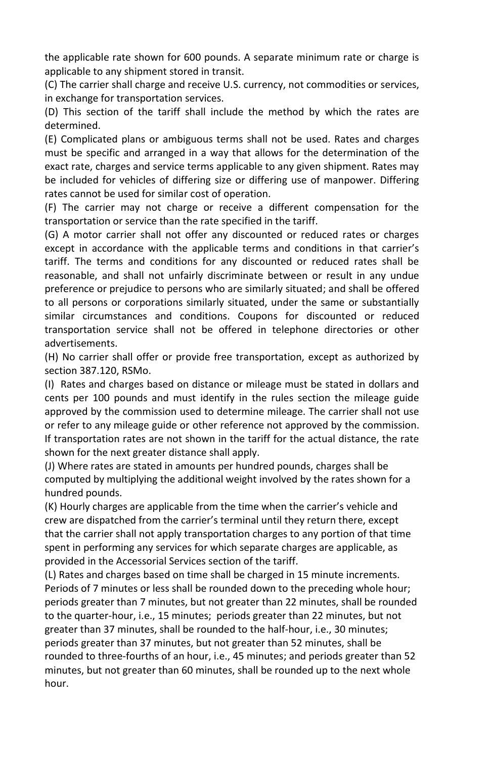the applicable rate shown for 600 pounds. A separate minimum rate or charge is applicable to any shipment stored in transit.

(C) The carrier shall charge and receive U.S. currency, not commodities or services, in exchange for transportation services.

(D) This section of the tariff shall include the method by which the rates are determined.

(E) Complicated plans or ambiguous terms shall not be used. Rates and charges must be specific and arranged in a way that allows for the determination of the exact rate, charges and service terms applicable to any given shipment. Rates may be included for vehicles of differing size or differing use of manpower. Differing rates cannot be used for similar cost of operation.

(F) The carrier may not charge or receive a different compensation for the transportation or service than the rate specified in the tariff.

 except in accordance with the applicable terms and conditions in that carrier's (G) A motor carrier shall not offer any discounted or reduced rates or charges tariff. The terms and conditions for any discounted or reduced rates shall be reasonable, and shall not unfairly discriminate between or result in any undue preference or prejudice to persons who are similarly situated; and shall be offered to all persons or corporations similarly situated, under the same or substantially similar circumstances and conditions. Coupons for discounted or reduced transportation service shall not be offered in telephone directories or other advertisements.

(H) No carrier shall offer or provide free transportation, except as authorized by section 387.120, RSMo.

(I) Rates and charges based on distance or mileage must be stated in dollars and cents per 100 pounds and must identify in the rules section the mileage guide approved by the commission used to determine mileage. The carrier shall not use or refer to any mileage guide or other reference not approved by the commission. If transportation rates are not shown in the tariff for the actual distance, the rate shown for the next greater distance shall apply.

(J) Where rates are stated in amounts per hundred pounds, charges shall be computed by multiplying the additional weight involved by the rates shown for a hundred pounds.

 (K) Hourly charges are applicable from the time when the carrier's vehicle and crew are dispatched from the carrier's terminal until they return there, except that the carrier shall not apply transportation charges to any portion of that time spent in performing any services for which separate charges are applicable, as provided in the Accessorial Services section of the tariff.

(L) Rates and charges based on time shall be charged in 15 minute increments. Periods of 7 minutes or less shall be rounded down to the preceding whole hour; periods greater than 7 minutes, but not greater than 22 minutes, shall be rounded to the quarter-hour, i.e., 15 minutes; periods greater than 22 minutes, but not greater than 37 minutes, shall be rounded to the half-hour, i.e., 30 minutes; periods greater than 37 minutes, but not greater than 52 minutes, shall be rounded to three-fourths of an hour, i.e., 45 minutes; and periods greater than 52 minutes, but not greater than 60 minutes, shall be rounded up to the next whole hour.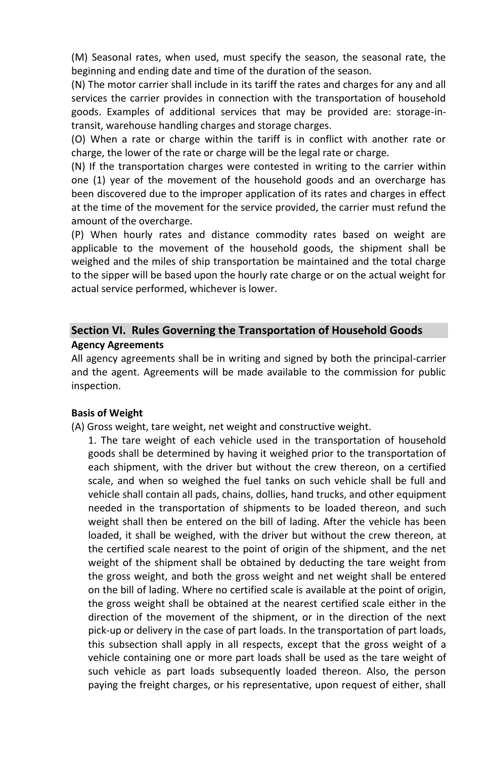(M) Seasonal rates, when used, must specify the season, the seasonal rate, the beginning and ending date and time of the duration of the season.

(N) The motor carrier shall include in its tariff the rates and charges for any and all services the carrier provides in connection with the transportation of household goods. Examples of additional services that may be provided are: storage-intransit, warehouse handling charges and storage charges.

(O) When a rate or charge within the tariff is in conflict with another rate or charge, the lower of the rate or charge will be the legal rate or charge.

(N) If the transportation charges were contested in writing to the carrier within one (1) year of the movement of the household goods and an overcharge has been discovered due to the improper application of its rates and charges in effect at the time of the movement for the service provided, the carrier must refund the amount of the overcharge.

(P) When hourly rates and distance commodity rates based on weight are applicable to the movement of the household goods, the shipment shall be weighed and the miles of ship transportation be maintained and the total charge to the sipper will be based upon the hourly rate charge or on the actual weight for actual service performed, whichever is lower.

## <span id="page-9-0"></span>**Section VI. Rules Governing the Transportation of Household Goods Agency Agreements**

All agency agreements shall be in writing and signed by both the principal-carrier and the agent. Agreements will be made available to the commission for public inspection.

#### **Basis of Weight**

(A) Gross weight, tare weight, net weight and constructive weight.

1. The tare weight of each vehicle used in the transportation of household goods shall be determined by having it weighed prior to the transportation of each shipment, with the driver but without the crew thereon, on a certified scale, and when so weighed the fuel tanks on such vehicle shall be full and vehicle shall contain all pads, chains, dollies, hand trucks, and other equipment needed in the transportation of shipments to be loaded thereon, and such weight shall then be entered on the bill of lading. After the vehicle has been loaded, it shall be weighed, with the driver but without the crew thereon, at the certified scale nearest to the point of origin of the shipment, and the net weight of the shipment shall be obtained by deducting the tare weight from the gross weight, and both the gross weight and net weight shall be entered on the bill of lading. Where no certified scale is available at the point of origin, the gross weight shall be obtained at the nearest certified scale either in the direction of the movement of the shipment, or in the direction of the next pick-up or delivery in the case of part loads. In the transportation of part loads, this subsection shall apply in all respects, except that the gross weight of a vehicle containing one or more part loads shall be used as the tare weight of such vehicle as part loads subsequently loaded thereon. Also, the person paying the freight charges, or his representative, upon request of either, shall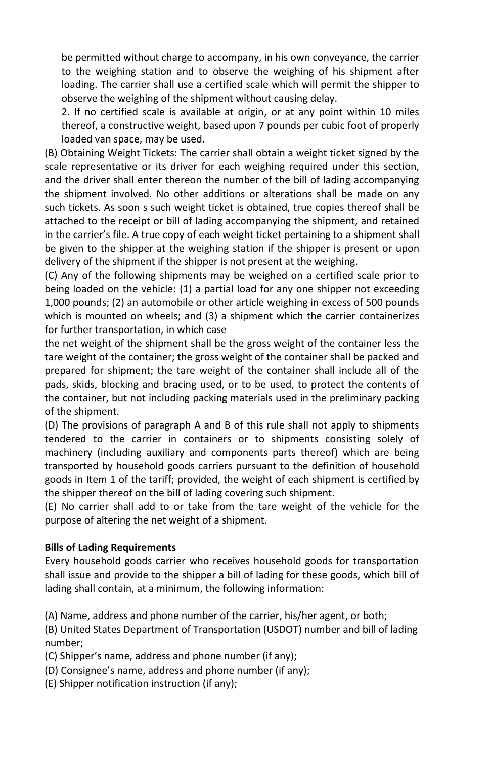be permitted without charge to accompany, in his own conveyance, the carrier to the weighing station and to observe the weighing of his shipment after loading. The carrier shall use a certified scale which will permit the shipper to observe the weighing of the shipment without causing delay.

2. If no certified scale is available at origin, or at any point within 10 miles thereof, a constructive weight, based upon 7 pounds per cubic foot of properly loaded van space, may be used.

(B) Obtaining Weight Tickets: The carrier shall obtain a weight ticket signed by the scale representative or its driver for each weighing required under this section, and the driver shall enter thereon the number of the bill of lading accompanying the shipment involved. No other additions or alterations shall be made on any such tickets. As soon s such weight ticket is obtained, true copies thereof shall be attached to the receipt or bill of lading accompanying the shipment, and retained in the carrier's file. A true copy of each weight ticket pertaining to a shipment shall be given to the shipper at the weighing station if the shipper is present or upon delivery of the shipment if the shipper is not present at the weighing.

(C) Any of the following shipments may be weighed on a certified scale prior to being loaded on the vehicle: (1) a partial load for any one shipper not exceeding 1,000 pounds; (2) an automobile or other article weighing in excess of 500 pounds which is mounted on wheels; and (3) a shipment which the carrier containerizes for further transportation, in which case

the net weight of the shipment shall be the gross weight of the container less the tare weight of the container; the gross weight of the container shall be packed and prepared for shipment; the tare weight of the container shall include all of the pads, skids, blocking and bracing used, or to be used, to protect the contents of the container, but not including packing materials used in the preliminary packing of the shipment.

(D) The provisions of paragraph A and B of this rule shall not apply to shipments tendered to the carrier in containers or to shipments consisting solely of machinery (including auxiliary and components parts thereof) which are being transported by household goods carriers pursuant to the definition of household goods in Item 1 of the tariff; provided, the weight of each shipment is certified by the shipper thereof on the bill of lading covering such shipment.

(E) No carrier shall add to or take from the tare weight of the vehicle for the purpose of altering the net weight of a shipment.

#### **Bills of Lading Requirements**

Every household goods carrier who receives household goods for transportation shall issue and provide to the shipper a bill of lading for these goods, which bill of lading shall contain, at a minimum, the following information:

(A) Name, address and phone number of the carrier, his/her agent, or both;

(B) United States Department of Transportation (USDOT) number and bill of lading number;

- (C) Shipper's name, address and phone number (if any);
- (D) Consignee's name, address and phone number (if any);
- (E) Shipper notification instruction (if any);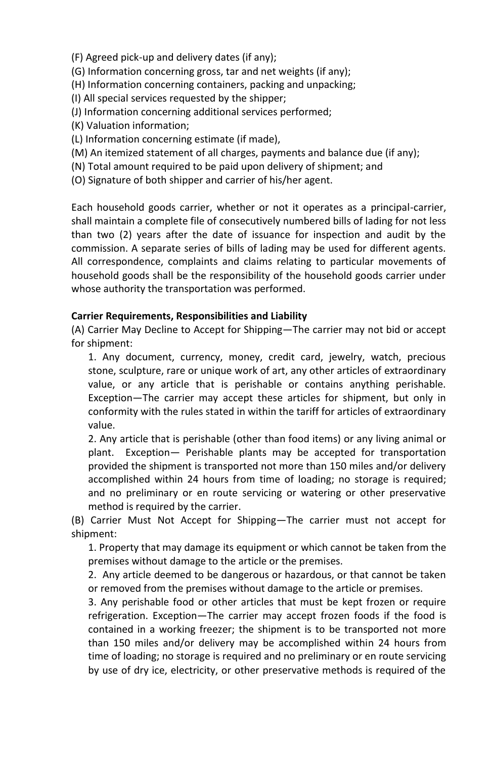(F) Agreed pick-up and delivery dates (if any);

(G) Information concerning gross, tar and net weights (if any);

(H) Information concerning containers, packing and unpacking;

(I) All special services requested by the shipper;

(J) Information concerning additional services performed;

(K) Valuation information;

(L) Information concerning estimate (if made),

(M) An itemized statement of all charges, payments and balance due (if any);

(N) Total amount required to be paid upon delivery of shipment; and

(O) Signature of both shipper and carrier of his/her agent.

Each household goods carrier, whether or not it operates as a principal-carrier, shall maintain a complete file of consecutively numbered bills of lading for not less than two (2) years after the date of issuance for inspection and audit by the commission. A separate series of bills of lading may be used for different agents. All correspondence, complaints and claims relating to particular movements of household goods shall be the responsibility of the household goods carrier under whose authority the transportation was performed.

#### **Carrier Requirements, Responsibilities and Liability**

(A) Carrier May Decline to Accept for Shipping—The carrier may not bid or accept for shipment:

1. Any document, currency, money, credit card, jewelry, watch, precious stone, sculpture, rare or unique work of art, any other articles of extraordinary value, or any article that is perishable or contains anything perishable. Exception—The carrier may accept these articles for shipment, but only in conformity with the rules stated in within the tariff for articles of extraordinary value.

2. Any article that is perishable (other than food items) or any living animal or plant. Exception— Perishable plants may be accepted for transportation provided the shipment is transported not more than 150 miles and/or delivery accomplished within 24 hours from time of loading; no storage is required; and no preliminary or en route servicing or watering or other preservative method is required by the carrier.

(B) Carrier Must Not Accept for Shipping—The carrier must not accept for shipment:

1. Property that may damage its equipment or which cannot be taken from the premises without damage to the article or the premises.

2. Any article deemed to be dangerous or hazardous, or that cannot be taken or removed from the premises without damage to the article or premises.

3. Any perishable food or other articles that must be kept frozen or require refrigeration. Exception—The carrier may accept frozen foods if the food is contained in a working freezer; the shipment is to be transported not more than 150 miles and/or delivery may be accomplished within 24 hours from time of loading; no storage is required and no preliminary or en route servicing by use of dry ice, electricity, or other preservative methods is required of the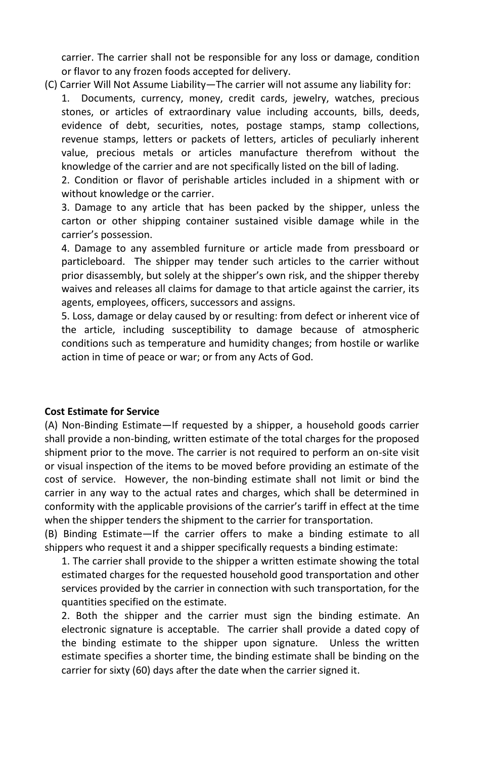carrier. The carrier shall not be responsible for any loss or damage, condition or flavor to any frozen foods accepted for delivery.

(C) Carrier Will Not Assume Liability—The carrier will not assume any liability for:

Documents, currency, money, credit cards, jewelry, watches, precious stones, or articles of extraordinary value including accounts, bills, deeds, evidence of debt, securities, notes, postage stamps, stamp collections, revenue stamps, letters or packets of letters, articles of peculiarly inherent value, precious metals or articles manufacture therefrom without the knowledge of the carrier and are not specifically listed on the bill of lading.

2. Condition or flavor of perishable articles included in a shipment with or without knowledge or the carrier.

3. Damage to any article that has been packed by the shipper, unless the carton or other shipping container sustained visible damage while in the carrier's possession.

 prior disassembly, but solely at the shipper's own risk, and the shipper thereby 4. Damage to any assembled furniture or article made from pressboard or particleboard. The shipper may tender such articles to the carrier without waives and releases all claims for damage to that article against the carrier, its agents, employees, officers, successors and assigns.

5. Loss, damage or delay caused by or resulting: from defect or inherent vice of the article, including susceptibility to damage because of atmospheric conditions such as temperature and humidity changes; from hostile or warlike action in time of peace or war; or from any Acts of God.

#### **Cost Estimate for Service**

(A) Non-Binding Estimate—If requested by a shipper, a household goods carrier shall provide a non-binding, written estimate of the total charges for the proposed shipment prior to the move. The carrier is not required to perform an on-site visit or visual inspection of the items to be moved before providing an estimate of the cost of service. However, the non-binding estimate shall not limit or bind the carrier in any way to the actual rates and charges, which shall be determined in conformity with the applicable provisions of the carrier's tariff in effect at the time when the shipper tenders the shipment to the carrier for transportation.

(B) Binding Estimate—If the carrier offers to make a binding estimate to all shippers who request it and a shipper specifically requests a binding estimate:

1. The carrier shall provide to the shipper a written estimate showing the total estimated charges for the requested household good transportation and other services provided by the carrier in connection with such transportation, for the quantities specified on the estimate.

2. Both the shipper and the carrier must sign the binding estimate. An electronic signature is acceptable. The carrier shall provide a dated copy of the binding estimate to the shipper upon signature. Unless the written estimate specifies a shorter time, the binding estimate shall be binding on the carrier for sixty (60) days after the date when the carrier signed it.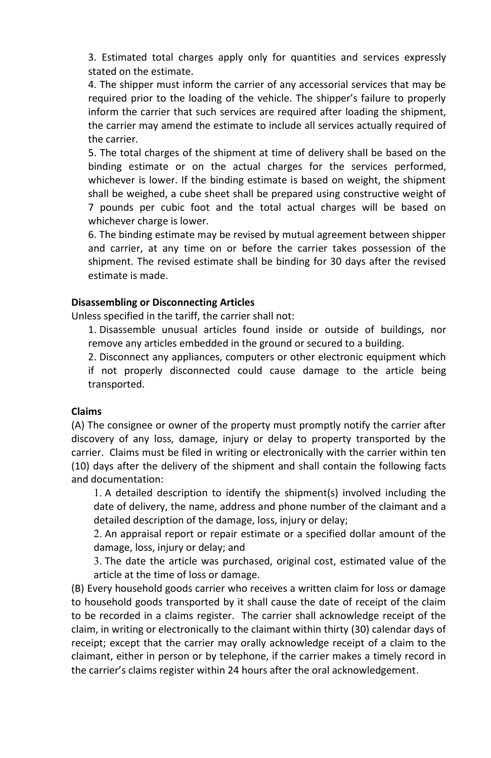3. Estimated total charges apply only for quantities and services expressly stated on the estimate.

 required prior to the loading of the vehicle. The shipper's failure to properly 4. The shipper must inform the carrier of any accessorial services that may be inform the carrier that such services are required after loading the shipment, the carrier may amend the estimate to include all services actually required of the carrier.

5. The total charges of the shipment at time of delivery shall be based on the binding estimate or on the actual charges for the services performed, whichever is lower. If the binding estimate is based on weight, the shipment shall be weighed, a cube sheet shall be prepared using constructive weight of 7 pounds per cubic foot and the total actual charges will be based on whichever charge is lower.

6. The binding estimate may be revised by mutual agreement between shipper and carrier, at any time on or before the carrier takes possession of the shipment. The revised estimate shall be binding for 30 days after the revised estimate is made.

#### **Disassembling or Disconnecting Articles**

Unless specified in the tariff, the carrier shall not:

1. Disassemble unusual articles found inside or outside of buildings, nor remove any articles embedded in the ground or secured to a building.

2. Disconnect any appliances, computers or other electronic equipment which if not properly disconnected could cause damage to the article being transported.

#### **Claims**

(A) The consignee or owner of the property must promptly notify the carrier after discovery of any loss, damage, injury or delay to property transported by the carrier. Claims must be filed in writing or electronically with the carrier within ten (10) days after the delivery of the shipment and shall contain the following facts and documentation:

1. A detailed description to identify the shipment(s) involved including the date of delivery, the name, address and phone number of the claimant and a detailed description of the damage, loss, injury or delay;

2. An appraisal report or repair estimate or a specified dollar amount of the damage, loss, injury or delay; and

3. The date the article was purchased, original cost, estimated value of the article at the time of loss or damage.

(B) Every household goods carrier who receives a written claim for loss or damage to household goods transported by it shall cause the date of receipt of the claim to be recorded in a claims register. The carrier shall acknowledge receipt of the claim, in writing or electronically to the claimant within thirty (30) calendar days of receipt; except that the carrier may orally acknowledge receipt of a claim to the claimant, either in person or by telephone, if the carrier makes a timely record in the carrier's claims register within 24 hours after the oral acknowledgement.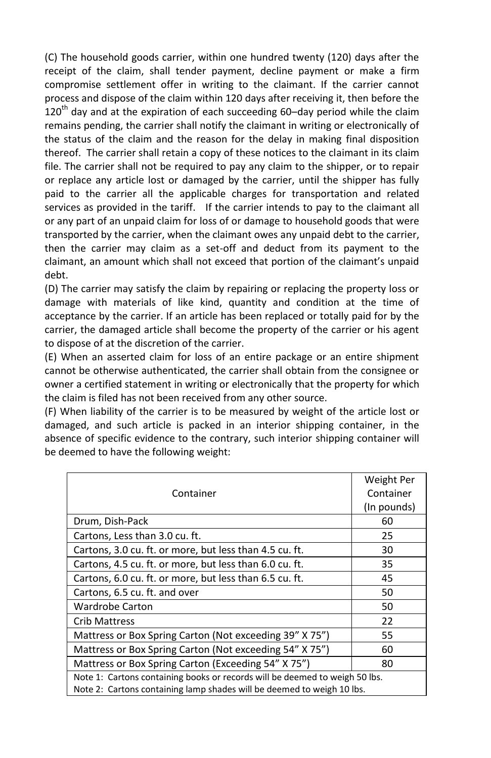claimant, an amount which shall not exceed that portion of the claimant's unpaid (C) The household goods carrier, within one hundred twenty (120) days after the receipt of the claim, shall tender payment, decline payment or make a firm compromise settlement offer in writing to the claimant. If the carrier cannot process and dispose of the claim within 120 days after receiving it, then before the 120<sup>th</sup> day and at the expiration of each succeeding 60-day period while the claim remains pending, the carrier shall notify the claimant in writing or electronically of the status of the claim and the reason for the delay in making final disposition thereof. The carrier shall retain a copy of these notices to the claimant in its claim file. The carrier shall not be required to pay any claim to the shipper, or to repair or replace any article lost or damaged by the carrier, until the shipper has fully paid to the carrier all the applicable charges for transportation and related services as provided in the tariff. If the carrier intends to pay to the claimant all or any part of an unpaid claim for loss of or damage to household goods that were transported by the carrier, when the claimant owes any unpaid debt to the carrier, then the carrier may claim as a set-off and deduct from its payment to the debt.

(D) The carrier may satisfy the claim by repairing or replacing the property loss or damage with materials of like kind, quantity and condition at the time of acceptance by the carrier. If an article has been replaced or totally paid for by the carrier, the damaged article shall become the property of the carrier or his agent to dispose of at the discretion of the carrier.

(E) When an asserted claim for loss of an entire package or an entire shipment cannot be otherwise authenticated, the carrier shall obtain from the consignee or owner a certified statement in writing or electronically that the property for which the claim is filed has not been received from any other source.

(F) When liability of the carrier is to be measured by weight of the article lost or damaged, and such article is packed in an interior shipping container, in the absence of specific evidence to the contrary, such interior shipping container will be deemed to have the following weight:

|                                                                             | Weight Per  |  |
|-----------------------------------------------------------------------------|-------------|--|
| Container                                                                   | Container   |  |
|                                                                             | (In pounds) |  |
| Drum, Dish-Pack                                                             | 60          |  |
| Cartons, Less than 3.0 cu. ft.                                              | 25          |  |
| Cartons, 3.0 cu. ft. or more, but less than 4.5 cu. ft.                     | 30          |  |
| Cartons, 4.5 cu. ft. or more, but less than 6.0 cu. ft.                     | 35          |  |
| Cartons, 6.0 cu. ft. or more, but less than 6.5 cu. ft.                     | 45          |  |
| Cartons, 6.5 cu. ft. and over                                               | 50          |  |
| <b>Wardrobe Carton</b>                                                      | 50          |  |
| <b>Crib Mattress</b>                                                        | 22          |  |
| Mattress or Box Spring Carton (Not exceeding 39" X 75")                     | 55          |  |
| Mattress or Box Spring Carton (Not exceeding 54" X 75")                     | 60          |  |
| Mattress or Box Spring Carton (Exceeding 54" X 75")                         | 80          |  |
| Note 1: Cartons containing books or records will be deemed to weigh 50 lbs. |             |  |
| Note 2: Cartons containing lamp shades will be deemed to weigh 10 lbs.      |             |  |
|                                                                             |             |  |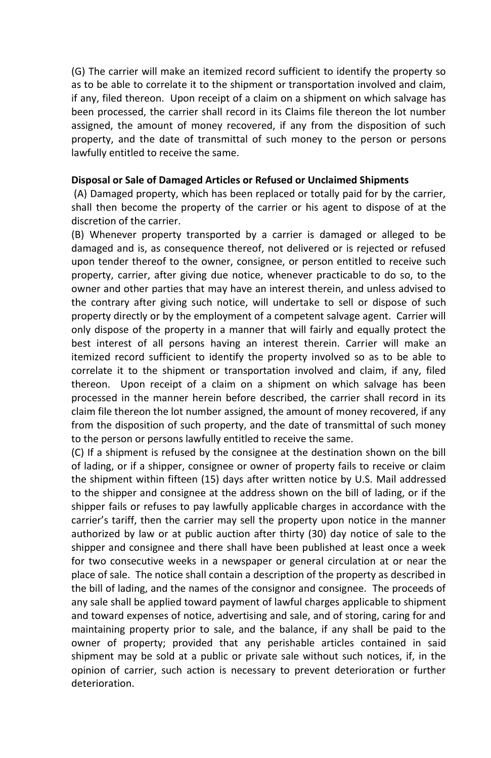(G) The carrier will make an itemized record sufficient to identify the property so as to be able to correlate it to the shipment or transportation involved and claim, if any, filed thereon. Upon receipt of a claim on a shipment on which salvage has been processed, the carrier shall record in its Claims file thereon the lot number assigned, the amount of money recovered, if any from the disposition of such property, and the date of transmittal of such money to the person or persons lawfully entitled to receive the same.

#### **Disposal or Sale of Damaged Articles or Refused or Unclaimed Shipments**

(A) Damaged property, which has been replaced or totally paid for by the carrier, shall then become the property of the carrier or his agent to dispose of at the discretion of the carrier.

(B) Whenever property transported by a carrier is damaged or alleged to be damaged and is, as consequence thereof, not delivered or is rejected or refused upon tender thereof to the owner, consignee, or person entitled to receive such property, carrier, after giving due notice, whenever practicable to do so, to the owner and other parties that may have an interest therein, and unless advised to the contrary after giving such notice, will undertake to sell or dispose of such property directly or by the employment of a competent salvage agent. Carrier will only dispose of the property in a manner that will fairly and equally protect the best interest of all persons having an interest therein. Carrier will make an itemized record sufficient to identify the property involved so as to be able to correlate it to the shipment or transportation involved and claim, if any, filed thereon. Upon receipt of a claim on a shipment on which salvage has been processed in the manner herein before described, the carrier shall record in its claim file thereon the lot number assigned, the amount of money recovered, if any from the disposition of such property, and the date of transmittal of such money to the person or persons lawfully entitled to receive the same.

 carrier's tariff, then the carrier may sell the property upon notice in the manner (C) If a shipment is refused by the consignee at the destination shown on the bill of lading, or if a shipper, consignee or owner of property fails to receive or claim the shipment within fifteen (15) days after written notice by U.S. Mail addressed to the shipper and consignee at the address shown on the bill of lading, or if the shipper fails or refuses to pay lawfully applicable charges in accordance with the authorized by law or at public auction after thirty (30) day notice of sale to the shipper and consignee and there shall have been published at least once a week for two consecutive weeks in a newspaper or general circulation at or near the place of sale. The notice shall contain a description of the property as described in the bill of lading, and the names of the consignor and consignee. The proceeds of any sale shall be applied toward payment of lawful charges applicable to shipment and toward expenses of notice, advertising and sale, and of storing, caring for and maintaining property prior to sale, and the balance, if any shall be paid to the owner of property; provided that any perishable articles contained in said shipment may be sold at a public or private sale without such notices, if, in the opinion of carrier, such action is necessary to prevent deterioration or further deterioration.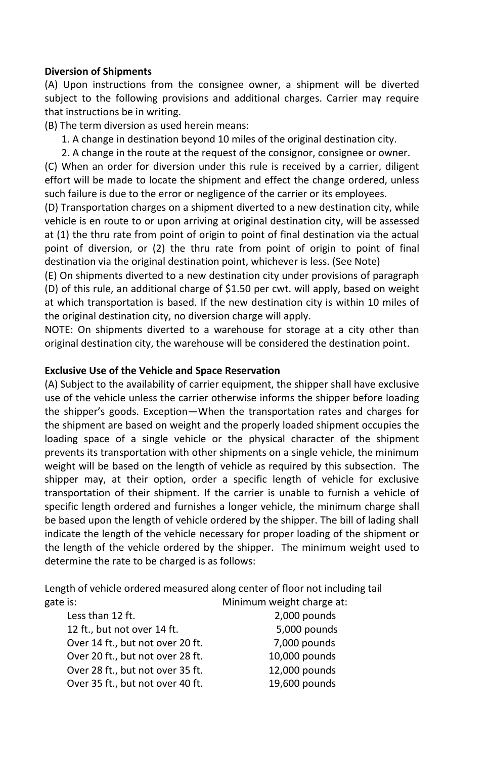#### **Diversion of Shipments**

(A) Upon instructions from the consignee owner, a shipment will be diverted subject to the following provisions and additional charges. Carrier may require that instructions be in writing.

(B) The term diversion as used herein means:

- 1. A change in destination beyond 10 miles of the original destination city.
- 2. A change in the route at the request of the consignor, consignee or owner.

(C) When an order for diversion under this rule is received by a carrier, diligent effort will be made to locate the shipment and effect the change ordered, unless such failure is due to the error or negligence of the carrier or its employees.

(D) Transportation charges on a shipment diverted to a new destination city, while vehicle is en route to or upon arriving at original destination city, will be assessed at (1) the thru rate from point of origin to point of final destination via the actual point of diversion, or (2) the thru rate from point of origin to point of final destination via the original destination point, whichever is less. (See Note)

(E) On shipments diverted to a new destination city under provisions of paragraph (D) of this rule, an additional charge of \$1.50 per cwt. will apply, based on weight at which transportation is based. If the new destination city is within 10 miles of the original destination city, no diversion charge will apply.

NOTE: On shipments diverted to a warehouse for storage at a city other than original destination city, the warehouse will be considered the destination point.

#### **Exclusive Use of the Vehicle and Space Reservation**

 the shipper's goods. Exception—When the transportation rates and charges for (A) Subject to the availability of carrier equipment, the shipper shall have exclusive use of the vehicle unless the carrier otherwise informs the shipper before loading the shipment are based on weight and the properly loaded shipment occupies the loading space of a single vehicle or the physical character of the shipment prevents its transportation with other shipments on a single vehicle, the minimum weight will be based on the length of vehicle as required by this subsection. The shipper may, at their option, order a specific length of vehicle for exclusive transportation of their shipment. If the carrier is unable to furnish a vehicle of specific length ordered and furnishes a longer vehicle, the minimum charge shall be based upon the length of vehicle ordered by the shipper. The bill of lading shall indicate the length of the vehicle necessary for proper loading of the shipment or the length of the vehicle ordered by the shipper. The minimum weight used to determine the rate to be charged is as follows:

Length of vehicle ordered measured along center of floor not including tail gate is:  $\blacksquare$  Minimum weight charge at:

| Less than 12 ft.                 | 2,000 pounds  |
|----------------------------------|---------------|
| 12 ft., but not over 14 ft.      | 5,000 pounds  |
| Over 14 ft., but not over 20 ft. | 7,000 pounds  |
| Over 20 ft., but not over 28 ft. | 10,000 pounds |
| Over 28 ft., but not over 35 ft. | 12,000 pounds |
| Over 35 ft., but not over 40 ft. | 19,600 pounds |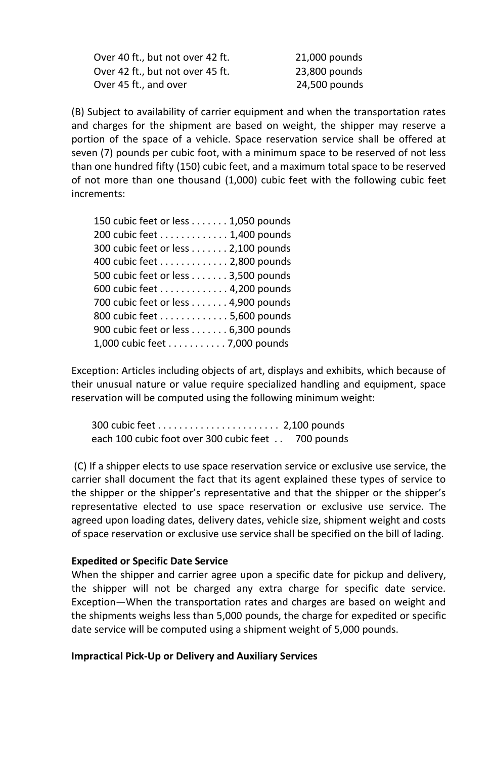Over 40 ft., but not over 42 ft. 21,000 pounds Over 42 ft., but not over 45 ft. 23,800 pounds Over 45 ft., and over 24,500 pounds

(B) Subject to availability of carrier equipment and when the transportation rates and charges for the shipment are based on weight, the shipper may reserve a portion of the space of a vehicle. Space reservation service shall be offered at seven (7) pounds per cubic foot, with a minimum space to be reserved of not less than one hundred fifty (150) cubic feet, and a maximum total space to be reserved of not more than one thousand (1,000) cubic feet with the following cubic feet increments:

| 150 cubic feet or less 1,050 pounds |
|-------------------------------------|
| 200 cubic feet 1,400 pounds         |
| 300 cubic feet or less 2,100 pounds |
| 400 cubic feet 2,800 pounds         |
| 500 cubic feet or less 3,500 pounds |
| 600 cubic feet 4,200 pounds         |
| 700 cubic feet or less 4,900 pounds |
| 800 cubic feet 5,600 pounds         |
| 900 cubic feet or less 6,300 pounds |
| 1,000 cubic feet 7,000 pounds       |

Exception: Articles including objects of art, displays and exhibits, which because of their unusual nature or value require specialized handling and equipment, space reservation will be computed using the following minimum weight:

300 cubic feet . . . . . . . . . . . . . . . . . . . . . . . 2,100 pounds each 100 cubic foot over 300 cubic feet . . 700 pounds

 the shipper or the shipper's representative and that the shipper or the shipper's (C) If a shipper elects to use space reservation service or exclusive use service, the carrier shall document the fact that its agent explained these types of service to representative elected to use space reservation or exclusive use service. The agreed upon loading dates, delivery dates, vehicle size, shipment weight and costs of space reservation or exclusive use service shall be specified on the bill of lading.

#### **Expedited or Specific Date Service**

When the shipper and carrier agree upon a specific date for pickup and delivery, the shipper will not be charged any extra charge for specific date service. Exception—When the transportation rates and charges are based on weight and the shipments weighs less than 5,000 pounds, the charge for expedited or specific date service will be computed using a shipment weight of 5,000 pounds.

#### **Impractical Pick-Up or Delivery and Auxiliary Services**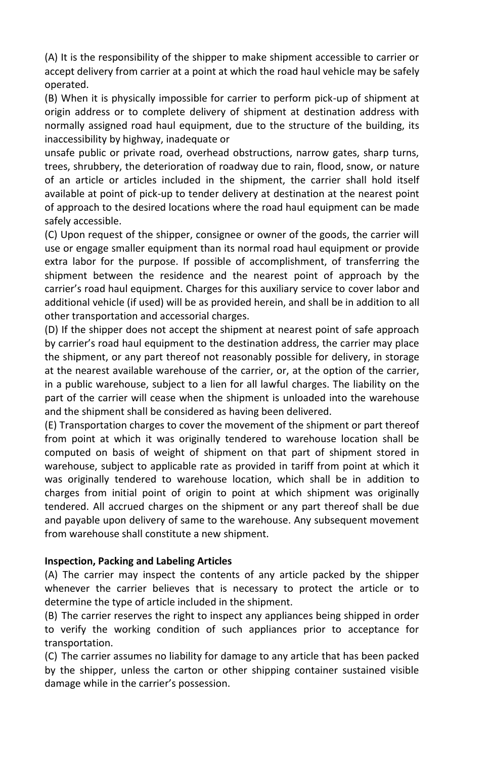(A) It is the responsibility of the shipper to make shipment accessible to carrier or accept delivery from carrier at a point at which the road haul vehicle may be safely operated.

(B) When it is physically impossible for carrier to perform pick-up of shipment at origin address or to complete delivery of shipment at destination address with normally assigned road haul equipment, due to the structure of the building, its inaccessibility by highway, inadequate or

unsafe public or private road, overhead obstructions, narrow gates, sharp turns, trees, shrubbery, the deterioration of roadway due to rain, flood, snow, or nature of an article or articles included in the shipment, the carrier shall hold itself available at point of pick-up to tender delivery at destination at the nearest point of approach to the desired locations where the road haul equipment can be made safely accessible.

 carrier's road haul equipment. Charges for this auxiliary service to cover labor and (C) Upon request of the shipper, consignee or owner of the goods, the carrier will use or engage smaller equipment than its normal road haul equipment or provide extra labor for the purpose. If possible of accomplishment, of transferring the shipment between the residence and the nearest point of approach by the additional vehicle (if used) will be as provided herein, and shall be in addition to all other transportation and accessorial charges.

 by carrier's road haul equipment to the destination address, the carrier may place (D) If the shipper does not accept the shipment at nearest point of safe approach the shipment, or any part thereof not reasonably possible for delivery, in storage at the nearest available warehouse of the carrier, or, at the option of the carrier, in a public warehouse, subject to a lien for all lawful charges. The liability on the part of the carrier will cease when the shipment is unloaded into the warehouse and the shipment shall be considered as having been delivered.

(E) Transportation charges to cover the movement of the shipment or part thereof from point at which it was originally tendered to warehouse location shall be computed on basis of weight of shipment on that part of shipment stored in warehouse, subject to applicable rate as provided in tariff from point at which it was originally tendered to warehouse location, which shall be in addition to charges from initial point of origin to point at which shipment was originally tendered. All accrued charges on the shipment or any part thereof shall be due and payable upon delivery of same to the warehouse. Any subsequent movement from warehouse shall constitute a new shipment.

#### **Inspection, Packing and Labeling Articles**

(A) The carrier may inspect the contents of any article packed by the shipper whenever the carrier believes that is necessary to protect the article or to determine the type of article included in the shipment.

(B) The carrier reserves the right to inspect any appliances being shipped in order to verify the working condition of such appliances prior to acceptance for transportation.

(C) The carrier assumes no liability for damage to any article that has been packed by the shipper, unless the carton or other shipping container sustained visible damage while in the carrier's possession.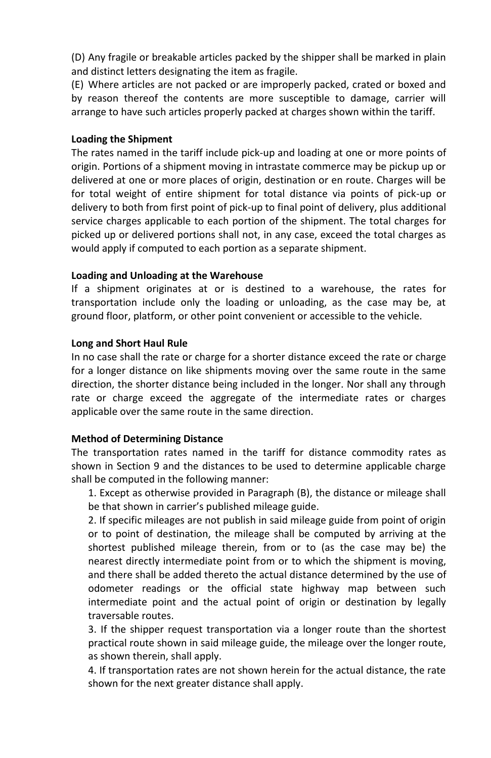(D) Any fragile or breakable articles packed by the shipper shall be marked in plain and distinct letters designating the item as fragile.

(E) Where articles are not packed or are improperly packed, crated or boxed and by reason thereof the contents are more susceptible to damage, carrier will arrange to have such articles properly packed at charges shown within the tariff.

#### **Loading the Shipment**

The rates named in the tariff include pick-up and loading at one or more points of origin. Portions of a shipment moving in intrastate commerce may be pickup up or delivered at one or more places of origin, destination or en route. Charges will be for total weight of entire shipment for total distance via points of pick-up or delivery to both from first point of pick-up to final point of delivery, plus additional service charges applicable to each portion of the shipment. The total charges for picked up or delivered portions shall not, in any case, exceed the total charges as would apply if computed to each portion as a separate shipment.

#### **Loading and Unloading at the Warehouse**

If a shipment originates at or is destined to a warehouse, the rates for transportation include only the loading or unloading, as the case may be, at ground floor, platform, or other point convenient or accessible to the vehicle.

#### **Long and Short Haul Rule**

In no case shall the rate or charge for a shorter distance exceed the rate or charge for a longer distance on like shipments moving over the same route in the same direction, the shorter distance being included in the longer. Nor shall any through rate or charge exceed the aggregate of the intermediate rates or charges applicable over the same route in the same direction.

#### **Method of Determining Distance**

The transportation rates named in the tariff for distance commodity rates as shown in Section 9 and the distances to be used to determine applicable charge shall be computed in the following manner:

1. Except as otherwise provided in Paragraph (B), the distance or mileage shall be that shown in carrier's published mileage guide.

2. If specific mileages are not publish in said mileage guide from point of origin or to point of destination, the mileage shall be computed by arriving at the shortest published mileage therein, from or to (as the case may be) the nearest directly intermediate point from or to which the shipment is moving, and there shall be added thereto the actual distance determined by the use of odometer readings or the official state highway map between such intermediate point and the actual point of origin or destination by legally traversable routes.

3. If the shipper request transportation via a longer route than the shortest practical route shown in said mileage guide, the mileage over the longer route, as shown therein, shall apply.

4. If transportation rates are not shown herein for the actual distance, the rate shown for the next greater distance shall apply.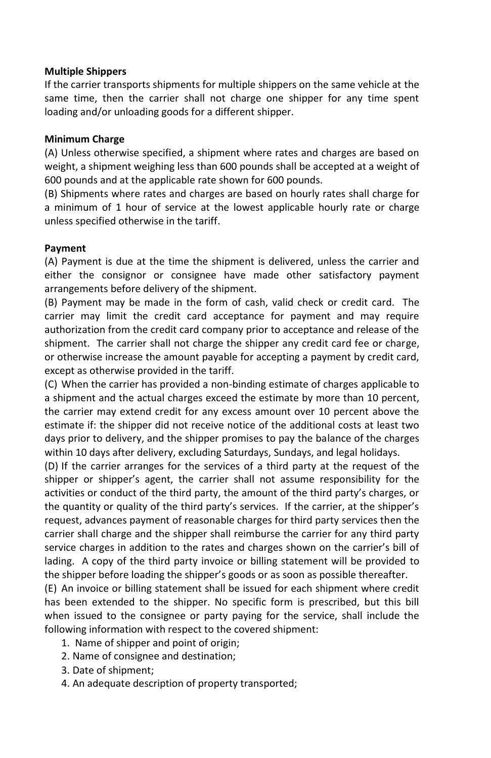#### **Multiple Shippers**

If the carrier transports shipments for multiple shippers on the same vehicle at the same time, then the carrier shall not charge one shipper for any time spent loading and/or unloading goods for a different shipper.

#### **Minimum Charge**

(A) Unless otherwise specified, a shipment where rates and charges are based on weight, a shipment weighing less than 600 pounds shall be accepted at a weight of 600 pounds and at the applicable rate shown for 600 pounds.

(B) Shipments where rates and charges are based on hourly rates shall charge for a minimum of 1 hour of service at the lowest applicable hourly rate or charge unless specified otherwise in the tariff.

#### **Payment**

(A) Payment is due at the time the shipment is delivered, unless the carrier and either the consignor or consignee have made other satisfactory payment arrangements before delivery of the shipment.

(B) Payment may be made in the form of cash, valid check or credit card. The carrier may limit the credit card acceptance for payment and may require authorization from the credit card company prior to acceptance and release of the shipment. The carrier shall not charge the shipper any credit card fee or charge, or otherwise increase the amount payable for accepting a payment by credit card, except as otherwise provided in the tariff.

(C) When the carrier has provided a non-binding estimate of charges applicable to a shipment and the actual charges exceed the estimate by more than 10 percent, the carrier may extend credit for any excess amount over 10 percent above the estimate if: the shipper did not receive notice of the additional costs at least two days prior to delivery, and the shipper promises to pay the balance of the charges within 10 days after delivery, excluding Saturdays, Sundays, and legal holidays.

 shipper or shipper's agent, the carrier shall not assume responsibility for the activities or conduct of the third party, the amount of the third party's charges, or the quantity or quality of the third party's services. If the carrier, at the shipper's service charges in addition to the rates and charges shown on the carrier's bill of (D) If the carrier arranges for the services of a third party at the request of the request, advances payment of reasonable charges for third party services then the carrier shall charge and the shipper shall reimburse the carrier for any third party lading. A copy of the third party invoice or billing statement will be provided to the shipper before loading the shipper's goods or as soon as possible thereafter.

(E) An invoice or billing statement shall be issued for each shipment where credit has been extended to the shipper. No specific form is prescribed, but this bill when issued to the consignee or party paying for the service, shall include the following information with respect to the covered shipment:

- 1. Name of shipper and point of origin;
- 2. Name of consignee and destination;
- 3. Date of shipment;
- 4. An adequate description of property transported;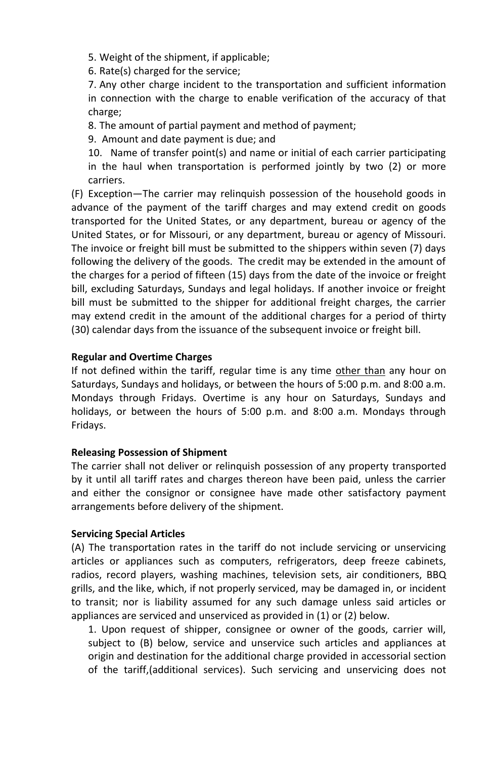5. Weight of the shipment, if applicable;

6. Rate(s) charged for the service;

7. Any other charge incident to the transportation and sufficient information in connection with the charge to enable verification of the accuracy of that charge;

8. The amount of partial payment and method of payment;

9. Amount and date payment is due; and

10. Name of transfer point(s) and name or initial of each carrier participating in the haul when transportation is performed jointly by two (2) or more carriers.

(F) Exception—The carrier may relinquish possession of the household goods in advance of the payment of the tariff charges and may extend credit on goods transported for the United States, or any department, bureau or agency of the United States, or for Missouri, or any department, bureau or agency of Missouri. The invoice or freight bill must be submitted to the shippers within seven (7) days following the delivery of the goods. The credit may be extended in the amount of the charges for a period of fifteen (15) days from the date of the invoice or freight bill, excluding Saturdays, Sundays and legal holidays. If another invoice or freight bill must be submitted to the shipper for additional freight charges, the carrier may extend credit in the amount of the additional charges for a period of thirty (30) calendar days from the issuance of the subsequent invoice or freight bill.

#### **Regular and Overtime Charges**

If not defined within the tariff, regular time is any time other than any hour on Saturdays, Sundays and holidays, or between the hours of 5:00 p.m. and 8:00 a.m. Mondays through Fridays. Overtime is any hour on Saturdays, Sundays and holidays, or between the hours of 5:00 p.m. and 8:00 a.m. Mondays through Fridays.

#### **Releasing Possession of Shipment**

The carrier shall not deliver or relinquish possession of any property transported by it until all tariff rates and charges thereon have been paid, unless the carrier and either the consignor or consignee have made other satisfactory payment arrangements before delivery of the shipment.

#### **Servicing Special Articles**

(A) The transportation rates in the tariff do not include servicing or unservicing articles or appliances such as computers, refrigerators, deep freeze cabinets, radios, record players, washing machines, television sets, air conditioners, BBQ grills, and the like, which, if not properly serviced, may be damaged in, or incident to transit; nor is liability assumed for any such damage unless said articles or appliances are serviced and unserviced as provided in (1) or (2) below.

1. Upon request of shipper, consignee or owner of the goods, carrier will, subject to (B) below, service and unservice such articles and appliances at origin and destination for the additional charge provided in accessorial section of the tariff,(additional services). Such servicing and unservicing does not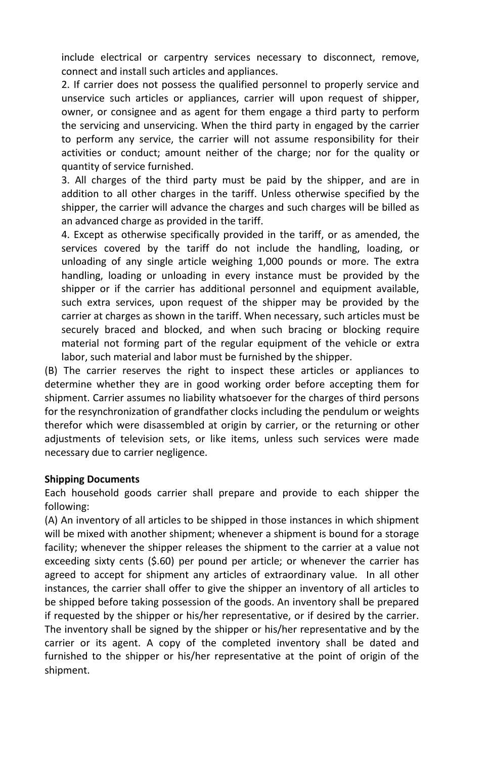include electrical or carpentry services necessary to disconnect, remove, connect and install such articles and appliances.

2. If carrier does not possess the qualified personnel to properly service and unservice such articles or appliances, carrier will upon request of shipper, owner, or consignee and as agent for them engage a third party to perform the servicing and unservicing. When the third party in engaged by the carrier to perform any service, the carrier will not assume responsibility for their activities or conduct; amount neither of the charge; nor for the quality or quantity of service furnished.

3. All charges of the third party must be paid by the shipper, and are in addition to all other charges in the tariff. Unless otherwise specified by the shipper, the carrier will advance the charges and such charges will be billed as an advanced charge as provided in the tariff.

4. Except as otherwise specifically provided in the tariff, or as amended, the services covered by the tariff do not include the handling, loading, or unloading of any single article weighing 1,000 pounds or more. The extra handling, loading or unloading in every instance must be provided by the shipper or if the carrier has additional personnel and equipment available, such extra services, upon request of the shipper may be provided by the carrier at charges as shown in the tariff. When necessary, such articles must be securely braced and blocked, and when such bracing or blocking require material not forming part of the regular equipment of the vehicle or extra labor, such material and labor must be furnished by the shipper.

(B) The carrier reserves the right to inspect these articles or appliances to determine whether they are in good working order before accepting them for shipment. Carrier assumes no liability whatsoever for the charges of third persons for the resynchronization of grandfather clocks including the pendulum or weights therefor which were disassembled at origin by carrier, or the returning or other adjustments of television sets, or like items, unless such services were made necessary due to carrier negligence.

#### **Shipping Documents**

Each household goods carrier shall prepare and provide to each shipper the following:

(A) An inventory of all articles to be shipped in those instances in which shipment will be mixed with another shipment; whenever a shipment is bound for a storage facility; whenever the shipper releases the shipment to the carrier at a value not exceeding sixty cents (\$.60) per pound per article; or whenever the carrier has agreed to accept for shipment any articles of extraordinary value. In all other instances, the carrier shall offer to give the shipper an inventory of all articles to be shipped before taking possession of the goods. An inventory shall be prepared if requested by the shipper or his/her representative, or if desired by the carrier. The inventory shall be signed by the shipper or his/her representative and by the carrier or its agent. A copy of the completed inventory shall be dated and furnished to the shipper or his/her representative at the point of origin of the shipment.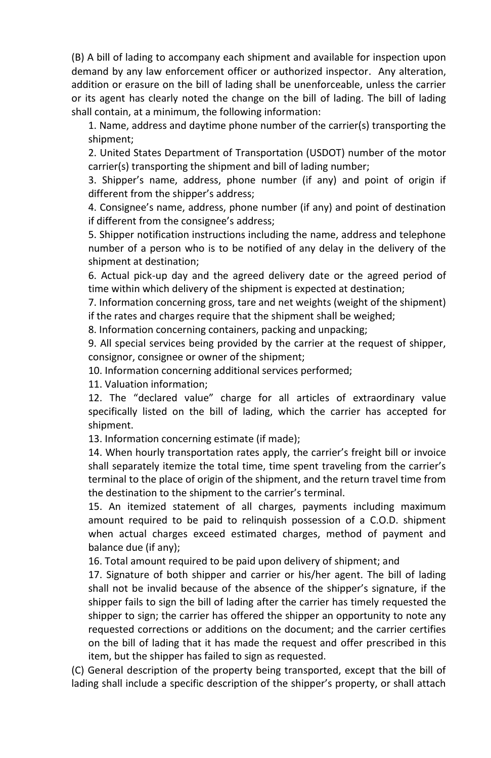(B) A bill of lading to accompany each shipment and available for inspection upon demand by any law enforcement officer or authorized inspector. Any alteration, addition or erasure on the bill of lading shall be unenforceable, unless the carrier or its agent has clearly noted the change on the bill of lading. The bill of lading shall contain, at a minimum, the following information:

1. Name, address and daytime phone number of the carrier(s) transporting the shipment;

2. United States Department of Transportation (USDOT) number of the motor carrier(s) transporting the shipment and bill of lading number;

 3. Shipper's name, address, phone number (if any) and point of origin if different from the shipper's address;

 4. Consignee's name, address, phone number (if any) and point of destination if different from the consignee's address;

5. Shipper notification instructions including the name, address and telephone number of a person who is to be notified of any delay in the delivery of the shipment at destination;

6. Actual pick-up day and the agreed delivery date or the agreed period of time within which delivery of the shipment is expected at destination;

7. Information concerning gross, tare and net weights (weight of the shipment) if the rates and charges require that the shipment shall be weighed;

8. Information concerning containers, packing and unpacking;

9. All special services being provided by the carrier at the request of shipper, consignor, consignee or owner of the shipment;

10. Information concerning additional services performed;

11. Valuation information;

 12. The "declared value" charge for all articles of extraordinary value specifically listed on the bill of lading, which the carrier has accepted for shipment.

13. Information concerning estimate (if made);

 14. When hourly transportation rates apply, the carrier's freight bill or invoice shall separately itemize the total time, time spent traveling from the carrier's terminal to the place of origin of the shipment, and the return travel time from the destination to the shipment to the carrier's terminal.

15. An itemized statement of all charges, payments including maximum amount required to be paid to relinquish possession of a C.O.D. shipment when actual charges exceed estimated charges, method of payment and balance due (if any);

16. Total amount required to be paid upon delivery of shipment; and

 shall not be invalid because of the absence of the shipper's signature, if the 17. Signature of both shipper and carrier or his/her agent. The bill of lading shipper fails to sign the bill of lading after the carrier has timely requested the shipper to sign; the carrier has offered the shipper an opportunity to note any requested corrections or additions on the document; and the carrier certifies on the bill of lading that it has made the request and offer prescribed in this item, but the shipper has failed to sign as requested.

 lading shall include a specific description of the shipper's property, or shall attach(C) General description of the property being transported, except that the bill of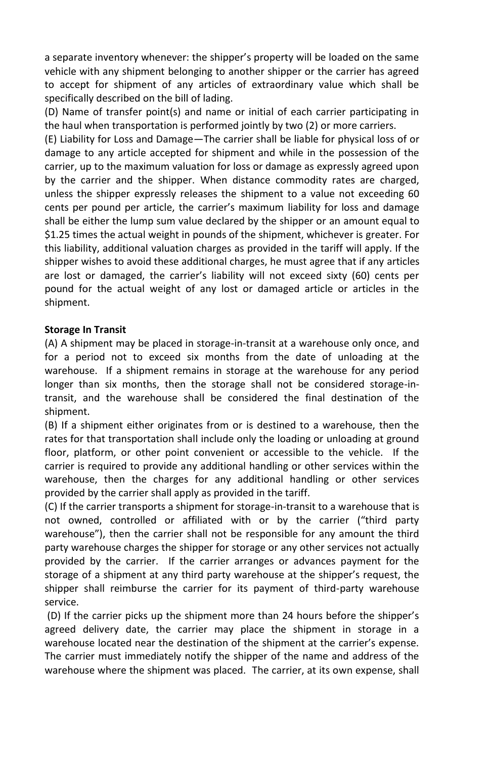a separate inventory whenever: the shipper's property will be loaded on the same vehicle with any shipment belonging to another shipper or the carrier has agreed to accept for shipment of any articles of extraordinary value which shall be specifically described on the bill of lading.

(D) Name of transfer point(s) and name or initial of each carrier participating in the haul when transportation is performed jointly by two (2) or more carriers.

 cents per pound per article, the carrier's maximum liability for loss and damage are lost or damaged, the carrier's liability will not exceed sixty (60) cents per (E) Liability for Loss and Damage—The carrier shall be liable for physical loss of or damage to any article accepted for shipment and while in the possession of the carrier, up to the maximum valuation for loss or damage as expressly agreed upon by the carrier and the shipper. When distance commodity rates are charged, unless the shipper expressly releases the shipment to a value not exceeding 60 shall be either the lump sum value declared by the shipper or an amount equal to \$1.25 times the actual weight in pounds of the shipment, whichever is greater. For this liability, additional valuation charges as provided in the tariff will apply. If the shipper wishes to avoid these additional charges, he must agree that if any articles pound for the actual weight of any lost or damaged article or articles in the shipment.

#### **Storage In Transit**

(A) A shipment may be placed in storage-in-transit at a warehouse only once, and for a period not to exceed six months from the date of unloading at the warehouse. If a shipment remains in storage at the warehouse for any period longer than six months, then the storage shall not be considered storage-intransit, and the warehouse shall be considered the final destination of the shipment.

(B) If a shipment either originates from or is destined to a warehouse, then the rates for that transportation shall include only the loading or unloading at ground floor, platform, or other point convenient or accessible to the vehicle. If the carrier is required to provide any additional handling or other services within the warehouse, then the charges for any additional handling or other services provided by the carrier shall apply as provided in the tariff.

 not owned, controlled or affiliated with or by the carrier ("third party warehouse"), then the carrier shall not be responsible for any amount the third storage of a shipment at any third party warehouse at the shipper's request, the (C) If the carrier transports a shipment for storage-in-transit to a warehouse that is party warehouse charges the shipper for storage or any other services not actually provided by the carrier. If the carrier arranges or advances payment for the shipper shall reimburse the carrier for its payment of third-party warehouse service.

 (D) If the carrier picks up the shipment more than 24 hours before the shipper's warehouse located near the destination of the shipment at the carrier's expense. agreed delivery date, the carrier may place the shipment in storage in a The carrier must immediately notify the shipper of the name and address of the warehouse where the shipment was placed. The carrier, at its own expense, shall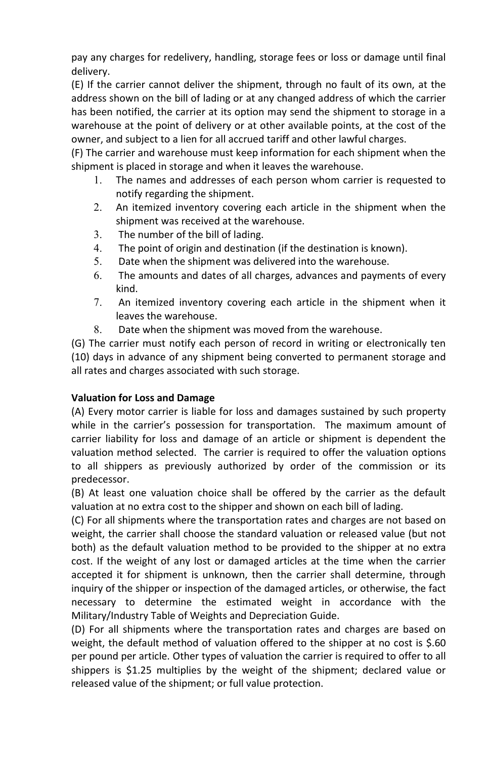pay any charges for redelivery, handling, storage fees or loss or damage until final delivery.

(E) If the carrier cannot deliver the shipment, through no fault of its own, at the address shown on the bill of lading or at any changed address of which the carrier has been notified, the carrier at its option may send the shipment to storage in a warehouse at the point of delivery or at other available points, at the cost of the owner, and subject to a lien for all accrued tariff and other lawful charges.

(F) The carrier and warehouse must keep information for each shipment when the shipment is placed in storage and when it leaves the warehouse.

- 1. The names and addresses of each person whom carrier is requested to notify regarding the shipment.
- 2. An itemized inventory covering each article in the shipment when the shipment was received at the warehouse.
- 3. The number of the bill of lading.
- 4. The point of origin and destination (if the destination is known).
- 5. Date when the shipment was delivered into the warehouse.
- 6. The amounts and dates of all charges, advances and payments of every kind.
- 7. An itemized inventory covering each article in the shipment when it leaves the warehouse.
- 8. Date when the shipment was moved from the warehouse.

(G) The carrier must notify each person of record in writing or electronically ten (10) days in advance of any shipment being converted to permanent storage and all rates and charges associated with such storage.

## **Valuation for Loss and Damage**

 while in the carrier's possession for transportation. The maximum amount of (A) Every motor carrier is liable for loss and damages sustained by such property carrier liability for loss and damage of an article or shipment is dependent the valuation method selected. The carrier is required to offer the valuation options to all shippers as previously authorized by order of the commission or its predecessor.

(B) At least one valuation choice shall be offered by the carrier as the default valuation at no extra cost to the shipper and shown on each bill of lading.

(C) For all shipments where the transportation rates and charges are not based on weight, the carrier shall choose the standard valuation or released value (but not both) as the default valuation method to be provided to the shipper at no extra cost. If the weight of any lost or damaged articles at the time when the carrier accepted it for shipment is unknown, then the carrier shall determine, through inquiry of the shipper or inspection of the damaged articles, or otherwise, the fact necessary to determine the estimated weight in accordance with the Military/Industry Table of Weights and Depreciation Guide.

(D) For all shipments where the transportation rates and charges are based on weight, the default method of valuation offered to the shipper at no cost is \$.60 per pound per article. Other types of valuation the carrier is required to offer to all shippers is \$1.25 multiplies by the weight of the shipment; declared value or released value of the shipment; or full value protection.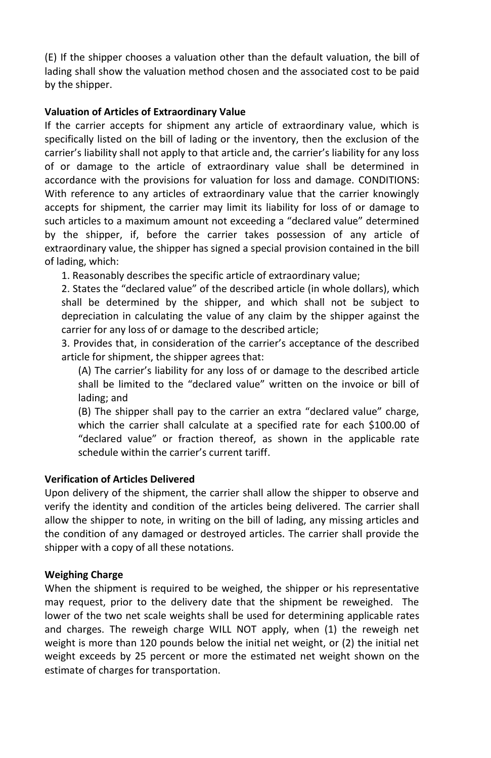(E) If the shipper chooses a valuation other than the default valuation, the bill of lading shall show the valuation method chosen and the associated cost to be paid by the shipper.

### **Valuation of Articles of Extraordinary Value**

 such articles to a maximum amount not exceeding a "declared value" determined If the carrier accepts for shipment any article of extraordinary value, which is specifically listed on the bill of lading or the inventory, then the exclusion of the carrier's liability shall not apply to that article and, the carrier's liability for any loss of or damage to the article of extraordinary value shall be determined in accordance with the provisions for valuation for loss and damage. CONDITIONS: With reference to any articles of extraordinary value that the carrier knowingly accepts for shipment, the carrier may limit its liability for loss of or damage to by the shipper, if, before the carrier takes possession of any article of extraordinary value, the shipper has signed a special provision contained in the bill of lading, which:

1. Reasonably describes the specific article of extraordinary value;

 2. States the "declared value" of the described article (in whole dollars), which shall be determined by the shipper, and which shall not be subject to depreciation in calculating the value of any claim by the shipper against the carrier for any loss of or damage to the described article;

 3. Provides that, in consideration of the carrier's acceptance of the described article for shipment, the shipper agrees that:

 (A) The carrier's liability for any loss of or damage to the described article shall be limited to the "declared value" written on the invoice or bill of lading; and

 (B) The shipper shall pay to the carrier an extra "declared value" charge, "declared value" or fraction thereof, as shown in the applicable rate which the carrier shall calculate at a specified rate for each \$100.00 of schedule within the carrier's current tariff.

## **Verification of Articles Delivered**

Upon delivery of the shipment, the carrier shall allow the shipper to observe and verify the identity and condition of the articles being delivered. The carrier shall allow the shipper to note, in writing on the bill of lading, any missing articles and the condition of any damaged or destroyed articles. The carrier shall provide the shipper with a copy of all these notations.

#### **Weighing Charge**

When the shipment is required to be weighed, the shipper or his representative may request, prior to the delivery date that the shipment be reweighed. The lower of the two net scale weights shall be used for determining applicable rates and charges. The reweigh charge WILL NOT apply, when (1) the reweigh net weight is more than 120 pounds below the initial net weight, or (2) the initial net weight exceeds by 25 percent or more the estimated net weight shown on the estimate of charges for transportation.